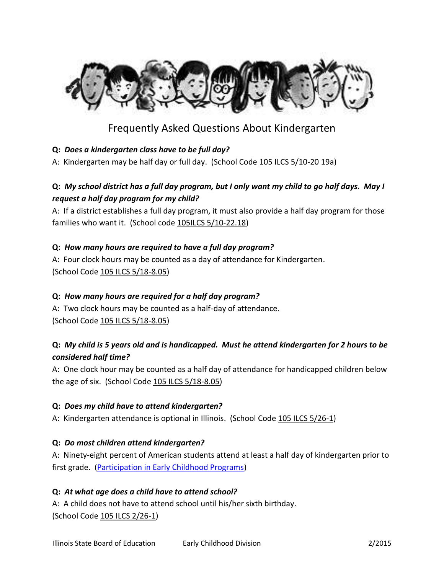

# Frequently Asked Questions About Kindergarten

## **Q:** *Does a kindergarten class have to be full day?*

A: Kindergarten may be half day or full day. (School Code 105 ILCS 5/10-20 19a)

## **Q:** *My school district has a full day program, but I only want my child to go half days. May I request a half day program for my child?*

A: If a district establishes a full day program, it must also provide a half day program for those families who want it. (School code 105ILCS 5/10-22.18)

## **Q:** *How many hours are required to have a full day program?*

A: Four clock hours may be counted as a day of attendance for Kindergarten. (School Code 105 ILCS 5/18-8.05)

## **Q:** *How many hours are required for a half day program?*

A: Two clock hours may be counted as a half-day of attendance. (School Code 105 ILCS 5/18-8.05)

## **Q:** *My child is 5 years old and is handicapped. Must he attend kindergarten for 2 hours to be considered half time?*

A: One clock hour may be counted as a half day of attendance for handicapped children below the age of six. (School Code 105 ILCS 5/18-8.05)

#### **Q:** *Does my child have to attend kindergarten?*

A: Kindergarten attendance is optional in Illinois. (School Code 105 ILCS 5/26-1)

## **Q:** *Do most children attend kindergarten?*

A: Ninety-eight percent of American students attend at least a half day of kindergarten prior to first grade. [\(Participation in Early Childhood Programs\)](http://futureofchildren.org/publications/journals/article/index.xml?journalid=35&articleid=88§ionid=534)

#### **Q:** *At what age does a child have to attend school?*

A: A child does not have to attend school until his/her sixth birthday. (School Code 105 ILCS 2/26-1)